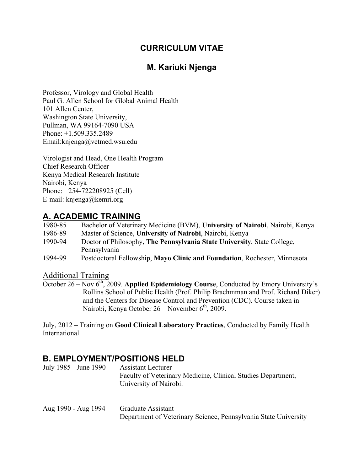## **CURRICULUM VITAE**

## **M. Kariuki Njenga**

Professor, Virology and Global Health Paul G. Allen School for Global Animal Health 101 Allen Center, Washington State University, Pullman, WA 99164-7090 USA Phone: +1.509.335.2489 Email:knjenga@vetmed.wsu.edu

Virologist and Head, One Health Program Chief Research Officer Kenya Medical Research Institute Nairobi, Kenya Phone: 254-722208925 (Cell) E-mail: knjenga@kemri.org

#### **A. ACADEMIC TRAINING**

| 1980-85 | Bachelor of Veterinary Medicine (BVM), University of Nairobi, Nairobi, Kenya |
|---------|------------------------------------------------------------------------------|
| 1986-89 | Master of Science, University of Nairobi, Nairobi, Kenya                     |
| 1990-94 | Doctor of Philosophy, The Pennsylvania State University, State College,      |
|         | Pennsylvania                                                                 |
| 1994-99 | Postdoctoral Fellowship, Mayo Clinic and Foundation, Rochester, Minnesota    |

Additional Training

October 26 – Nov 6<sup>th</sup>, 2009. **Applied Epidemiology Course**, Conducted by Emory University's Rollins School of Public Health (Prof. Philip Brachmman and Prof. Richard Diker) and the Centers for Disease Control and Prevention (CDC). Course taken in Nairobi, Kenya October 26 – November  $6<sup>th</sup>$ , 2009.

July, 2012 – Training on **Good Clinical Laboratory Practices**, Conducted by Family Health International

### **B. EMPLOYMENT/POSITIONS HELD**

| July 1985 - June 1990 | Assistant Lecturer                                           |
|-----------------------|--------------------------------------------------------------|
|                       | Faculty of Veterinary Medicine, Clinical Studies Department, |
|                       | University of Nairobi.                                       |

| Aug 1990 - Aug 1994 | Graduate Assistant                                              |
|---------------------|-----------------------------------------------------------------|
|                     | Department of Veterinary Science, Pennsylvania State University |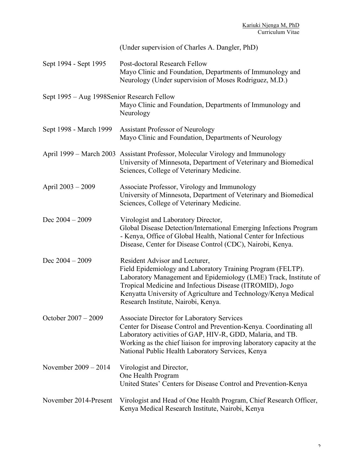|                                             | (Under supervision of Charles A. Dangler, PhD)                                                                                                                                                                                                                                                                                          |
|---------------------------------------------|-----------------------------------------------------------------------------------------------------------------------------------------------------------------------------------------------------------------------------------------------------------------------------------------------------------------------------------------|
| Sept 1994 - Sept 1995                       | Post-doctoral Research Fellow<br>Mayo Clinic and Foundation, Departments of Immunology and<br>Neurology (Under supervision of Moses Rodriguez, M.D.)                                                                                                                                                                                    |
| Sept 1995 – Aug 1998 Senior Research Fellow | Mayo Clinic and Foundation, Departments of Immunology and<br>Neurology                                                                                                                                                                                                                                                                  |
| Sept 1998 - March 1999                      | <b>Assistant Professor of Neurology</b><br>Mayo Clinic and Foundation, Departments of Neurology                                                                                                                                                                                                                                         |
|                                             | April 1999 – March 2003 Assistant Professor, Molecular Virology and Immunology<br>University of Minnesota, Department of Veterinary and Biomedical<br>Sciences, College of Veterinary Medicine.                                                                                                                                         |
| April 2003 - 2009                           | Associate Professor, Virology and Immunology<br>University of Minnesota, Department of Veterinary and Biomedical<br>Sciences, College of Veterinary Medicine.                                                                                                                                                                           |
| Dec $2004 - 2009$                           | Virologist and Laboratory Director,<br>Global Disease Detection/International Emerging Infections Program<br>- Kenya, Office of Global Health, National Center for Infectious<br>Disease, Center for Disease Control (CDC), Nairobi, Kenya.                                                                                             |
| Dec $2004 - 2009$                           | Resident Advisor and Lecturer,<br>Field Epidemiology and Laboratory Training Program (FELTP).<br>Laboratory Management and Epidemiology (LME) Track, Institute of<br>Tropical Medicine and Infectious Disease (ITROMID), Jogo<br>Kenyatta University of Agriculture and Technology/Kenya Medical<br>Research Institute, Nairobi, Kenya. |
| October 2007 – 2009                         | <b>Associate Director for Laboratory Services</b><br>Center for Disease Control and Prevention-Kenya. Coordinating all<br>Laboratory activities of GAP, HIV-R, GDD, Malaria, and TB.<br>Working as the chief liaison for improving laboratory capacity at the<br>National Public Health Laboratory Services, Kenya                      |
| November $2009 - 2014$                      | Virologist and Director,<br>One Health Program<br>United States' Centers for Disease Control and Prevention-Kenya                                                                                                                                                                                                                       |
| November 2014-Present                       | Virologist and Head of One Health Program, Chief Research Officer,<br>Kenya Medical Research Institute, Nairobi, Kenya                                                                                                                                                                                                                  |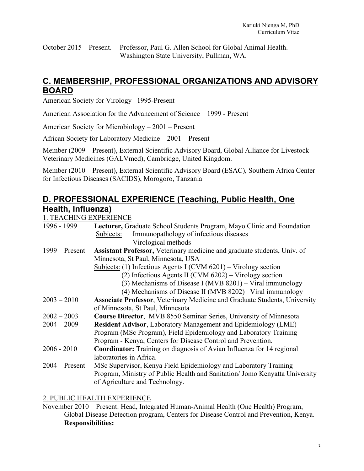October 2015 – Present. Professor, Paul G. Allen School for Global Animal Health. Washington State University, Pullman, WA.

## **C. MEMBERSHIP, PROFESSIONAL ORGANIZATIONS AND ADVISORY BOARD**

American Society for Virology –1995-Present

American Association for the Advancement of Science – 1999 - Present

American Society for Microbiology – 2001 – Present

African Society for Laboratory Medicine – 2001 – Present

Member (2009 – Present), External Scientific Advisory Board, Global Alliance for Livestock Veterinary Medicines (GALVmed), Cambridge, United Kingdom.

Member (2010 – Present), External Scientific Advisory Board (ESAC), Southern Africa Center for Infectious Diseases (SACIDS), Morogoro, Tanzania

## **D. PROFESSIONAL EXPERIENCE (Teaching, Public Health, One Health, Influenza)**

1. TEACHING EXPERIENCE

| 1996 - 1999      | Lecturer, Graduate School Students Program, Mayo Clinic and Foundation            |
|------------------|-----------------------------------------------------------------------------------|
|                  | Immunopathology of infectious diseases<br>Subjects:                               |
|                  | Virological methods                                                               |
| $1999 -$ Present | Assistant Professor, Veterinary medicine and graduate students, Univ. of          |
|                  | Minnesota, St Paul, Minnesota, USA                                                |
|                  | Subjects: (1) Infectious Agents I (CVM $6201$ ) – Virology section                |
|                  | (2) Infectious Agents II (CVM $6202$ ) – Virology section                         |
|                  | (3) Mechanisms of Disease I (MVB 8201) – Viral immunology                         |
|                  | (4) Mechanisms of Disease II (MVB 8202) – Viral immunology                        |
| $2003 - 2010$    | <b>Associate Professor, Veterinary Medicine and Graduate Students, University</b> |
|                  | of Minnesota, St Paul, Minnesota                                                  |
| $2002 - 2003$    | Course Director, MVB 8550 Seminar Series, University of Minnesota                 |
| $2004 - 2009$    | <b>Resident Advisor, Laboratory Management and Epidemiology (LME)</b>             |
|                  | Program (MSc Program), Field Epidemiology and Laboratory Training                 |
|                  | Program - Kenya, Centers for Disease Control and Prevention.                      |
| $2006 - 2010$    | <b>Coordinator:</b> Training on diagnosis of Avian Influenza for 14 regional      |
|                  | laboratories in Africa.                                                           |
| $2004 -$ Present | MSc Supervisor, Kenya Field Epidemiology and Laboratory Training                  |
|                  | Program, Ministry of Public Health and Sanitation/ Jomo Kenyatta University       |
|                  | of Agriculture and Technology.                                                    |
|                  |                                                                                   |

#### 2. PUBLIC HEALTH EXPERIENCE

November 2010 – Present: Head, Integrated Human-Animal Health (One Health) Program, Global Disease Detection program, Centers for Disease Control and Prevention, Kenya. **Responsibilities:**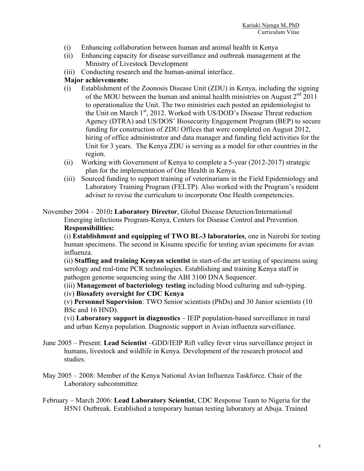- (i) Enhancing collaboration between human and animal health in Kenya
- (ii) Enhancing capacity for disease surveillance and outbreak management at the Ministry of Livestock Development
- (iii) Conducting research and the human-animal interface.

#### **Major achievements:**

- (i) Establishment of the Zoonosis Disease Unit (ZDU) in Kenya, including the signing of the MOU between the human and animal health ministries on August  $2<sup>nd</sup>$  2011 to operationalize the Unit. The two ministries each posted an epidemiologist to the Unit on March 1<sup>st</sup>, 2012. Worked with US/DOD's Disease Threat reduction Agency (DTRA) and US/DOS' Biosecurity Engagement Program (BEP) to secure funding for construction of ZDU Offices that were completed on August 2012, hiring of office administrator and data manager and funding field activities for the Unit for 3 years. The Kenya ZDU is serving as a model for other countries in the region.
- (ii) Working with Government of Kenya to complete a 5-year (2012-2017) strategic plan for the implementation of One Health in Kenya.
- (iii) Sourced funding to support training of veterinarians in the Field Epidemiology and Laboratory Training Program (FELTP). Also worked with the Program's resident adviser to revise the curriculum to incorporate One Health competencies.

November 2004 – 2010**: Laboratory Director**, Global Disease Detection/International Emerging infections Program-Kenya, Centers for Disease Control and Prevention. **Responsibilities:** 

(i) **Establishment and equipping of TWO BL-3 laboratories**, one in Nairobi for testing human specimens. The second in Kisumu specific for testing avian specimens for avian influenza.

(ii) **Staffing and training Kenyan scientist** in start-of-the art testing of specimens using serology and real-time PCR technologies. Establishing and training Kenya staff in pathogen genome sequencing using the ABI 3100 DNA Sequencer.

(iii) **Management of bacteriology testing** including blood culturing and sub-typing.

#### (iv) **Biosafety oversight for CDC Kenya**

(v) **Personnel Supervision**: TWO Senior scientists (PhDs) and 30 Junior scientists (10 BSc and 16 HND).

(vi) **Laboratory support in diagnostics** – IEIP population-based surveillance in rural and urban Kenya population. Diagnostic support in Avian influenza surveillance.

- June 2005 Present: **Lead Scientist** –GDD/IEIP Rift valley fever virus surveillance project in humans, livestock and wildlife in Kenya. Development of the research protocol and studies.
- May 2005 2008: Member of the Kenya National Avian Influenza Taskforce. Chair of the Laboratory subcommittee
- February March 2006: **Lead Laboratory Scientist**, CDC Response Team to Nigeria for the H5N1 Outbreak. Established a temporary human testing laboratory at Abuja. Trained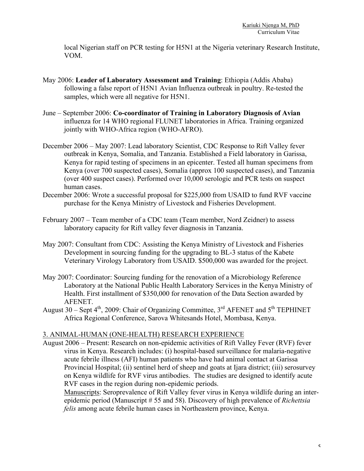local Nigerian staff on PCR testing for H5N1 at the Nigeria veterinary Research Institute, VOM.

- May 2006: **Leader of Laboratory Assessment and Training**: Ethiopia (Addis Ababa) following a false report of H5N1 Avian Influenza outbreak in poultry. Re-tested the samples, which were all negative for H5N1.
- June September 2006: **Co-coordinator of Training in Laboratory Diagnosis of Avian** influenza for 14 WHO regional FLUNET laboratories in Africa. Training organized jointly with WHO-Africa region (WHO-AFRO).
- December 2006 May 2007: Lead laboratory Scientist, CDC Response to Rift Valley fever outbreak in Kenya, Somalia, and Tanzania. Established a Field laboratory in Garissa, Kenya for rapid testing of specimens in an epicenter. Tested all human specimens from Kenya (over 700 suspected cases), Somalia (approx 100 suspected cases), and Tanzania (over 400 suspect cases). Performed over 10,000 serologic and PCR tests on suspect human cases.
- December 2006: Wrote a successful proposal for \$225,000 from USAID to fund RVF vaccine purchase for the Kenya Ministry of Livestock and Fisheries Development.
- February 2007 Team member of a CDC team (Team member, Nord Zeidner) to assess laboratory capacity for Rift valley fever diagnosis in Tanzania.
- May 2007: Consultant from CDC: Assisting the Kenya Ministry of Livestock and Fisheries Development in sourcing funding for the upgrading to BL-3 status of the Kabete Veterinary Virology Laboratory from USAID. \$500,000 was awarded for the project.
- May 2007: Coordinator: Sourcing funding for the renovation of a Microbiology Reference Laboratory at the National Public Health Laboratory Services in the Kenya Ministry of Health. First installment of \$350,000 for renovation of the Data Section awarded by AFENET.
- August 30 Sept  $4<sup>th</sup>$ , 2009: Chair of Organizing Committee,  $3<sup>rd</sup>$  AFENET and  $5<sup>th</sup>$  TEPHINET Africa Regional Conference, Sarova Whitesands Hotel, Mombasa, Kenya.

#### 3. ANIMAL-HUMAN (ONE-HEALTH) RESEARCH EXPERIENCE

August 2006 – Present: Research on non-epidemic activities of Rift Valley Fever (RVF) fever virus in Kenya. Research includes: (i) hospital-based surveillance for malaria-negative acute febrile illness (AFI) human patients who have had animal contact at Garissa Provincial Hospital; (ii) sentinel herd of sheep and goats at Ijara district; (iii) serosurvey on Kenya wildlife for RVF virus antibodies. The studies are designed to identify acute RVF cases in the region during non-epidemic periods.

Manuscripts: Seroprevalence of Rift Valley fever virus in Kenya wildlife during an interepidemic period (Manuscript # 55 and 58). Discovery of high prevalence of *Richettsia felis* among acute febrile human cases in Northeastern province, Kenya.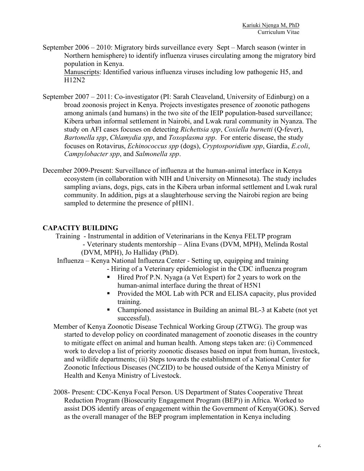September 2006 – 2010: Migratory birds surveillance every Sept – March season (winter in Northern hemisphere) to identify influenza viruses circulating among the migratory bird population in Kenya.

Manuscripts: Identified various influenza viruses including low pathogenic H5, and H12N2

- September 2007 2011: Co-investigator (PI: Sarah Cleaveland, University of Edinburg) on a broad zoonosis project in Kenya. Projects investigates presence of zoonotic pathogens among animals (and humans) in the two site of the IEIP population-based surveillance; Kibera urban informal settlement in Nairobi, and Lwak rural community in Nyanza. The study on AFI cases focuses on detecting *Richettsia spp*, *Coxiella burnetti* (Q-fever), *Bartonella spp*, *Chlamydia spp*, and *Toxoplasma spp*. For enteric disease, the study focuses on Rotavirus, *Echinococcus spp* (dogs), *Cryptosporidium spp*, Giardia, *E.coli*, *Campylobacter spp*, and *Salmonella spp*.
- December 2009-Present: Surveillance of influenza at the human-animal interface in Kenya ecosystem (in collaboration with NIH and University on Minnesota). The study includes sampling avians, dogs, pigs, cats in the Kibera urban informal settlement and Lwak rural community. In addition, pigs at a slaughterhouse serving the Nairobi region are being sampled to determine the presence of pHIN1.

#### **CAPACITY BUILDING**

Training - Instrumental in addition of Veterinarians in the Kenya FELTP program - Veterinary students mentorship – Alina Evans (DVM, MPH), Melinda Rostal (DVM, MPH), Jo Halliday (PhD).

- Influenza Kenya National Influenza Center Setting up, equipping and training
	- Hiring of a Veterinary epidemiologist in the CDC influenza program
	- ! Hired Prof P.N. Nyaga (a Vet Expert) for 2 years to work on the human-animal interface during the threat of H5N1
	- ! Provided the MOL Lab with PCR and ELISA capacity, plus provided training.
	- ! Championed assistance in Building an animal BL-3 at Kabete (not yet successful).
- Member of Kenya Zoonotic Disease Technical Working Group (ZTWG). The group was started to develop policy on coordinated management of zoonotic diseases in the country to mitigate effect on animal and human health. Among steps taken are: (i) Commenced work to develop a list of priority zoonotic diseases based on input from human, livestock, and wildlife departments; (ii) Steps towards the establishment of a National Center for Zoonotic Infectious Diseases (NCZID) to be housed outside of the Kenya Ministry of Health and Kenya Ministry of Livestock.
- 2008- Present: CDC-Kenya Focal Person. US Department of States Cooperative Threat Reduction Program (Biosecurity Engagement Program (BEP)) in Africa. Worked to assist DOS identify areas of engagement within the Government of Kenya(GOK). Served as the overall manager of the BEP program implementation in Kenya including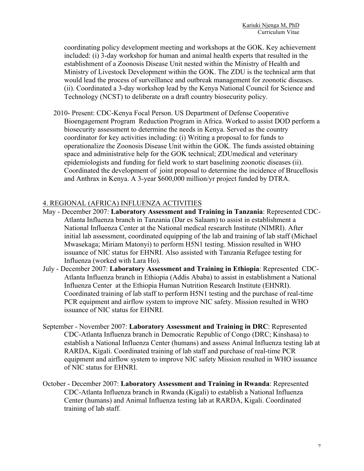coordinating policy development meeting and workshops at the GOK. Key achievement included: (i) 3-day workshop for human and animal health experts that resulted in the establishment of a Zoonosis Disease Unit nested within the Ministry of Health and Ministry of Livestock Development within the GOK. The ZDU is the technical arm that would lead the process of surveillance and outbreak management for zoonotic diseases. (ii). Coordinated a 3-day workshop lead by the Kenya National Council for Science and Technology (NCST) to deliberate on a draft country biosecurity policy.

2010- Present: CDC-Kenya Focal Person. US Department of Defense Cooperative Bioengagement Program Reduction Program in Africa. Worked to assist DOD perform a biosecurity assessment to determine the needs in Kenya. Served as the country coordinator for key activities including: (i) Writing a proposal to for funds to operationalize the Zoonosis Disease Unit within the GOK. The funds assisted obtaining space and administrative help for the GOK technical; ZDUmedical and veterinary epidemiologists and funding for field work to start baselining zoonotic diseases (ii). Coordinated the development of joint proposal to determine the incidence of Brucellosis and Anthrax in Kenya. A 3-year \$600,000 million/yr project funded by DTRA.

#### 4. REGIONAL (AFRICA) INFLUENZA ACTIVITIES

- May December 2007: **Laboratory Assessment and Training in Tanzania**: Represented CDC-Atlanta Influenza branch in Tanzania (Dar es Salaam) to assist in establishment a National Influenza Center at the National medical research Institute (NIMRI). After initial lab assessment, coordinated equipping of the lab and training of lab staff (Michael Mwasekaga; Miriam Matonyi) to perform H5N1 testing. Mission resulted in WHO issuance of NIC status for EHNRI. Also assisted with Tanzania Refugee testing for Influenza (worked with Lara Ho).
- July December 2007: **Laboratory Assessment and Training in Ethiopia**: Represented CDC-Atlanta Influenza branch in Ethiopia (Addis Ababa) to assist in establishment a National Influenza Center at the Ethiopia Human Nutrition Research Institute (EHNRI). Coordinated training of lab staff to perform H5N1 testing and the purchase of real-time PCR equipment and airflow system to improve NIC safety. Mission resulted in WHO issuance of NIC status for EHNRI.
- September November 2007: **Laboratory Assessment and Training in DRC**: Represented CDC-Atlanta Influenza branch in Democratic Republic of Congo (DRC; Kinshasa) to establish a National Influenza Center (humans) and assess Animal Influenza testing lab at RARDA, Kigali. Coordinated training of lab staff and purchase of real-time PCR equipment and airflow system to improve NIC safety Mission resulted in WHO issuance of NIC status for EHNRI.
- October December 2007: **Laboratory Assessment and Training in Rwanda**: Represented CDC-Atlanta Influenza branch in Rwanda (Kigali) to establish a National Influenza Center (humans) and Animal Influenza testing lab at RARDA, Kigali. Coordinated training of lab staff.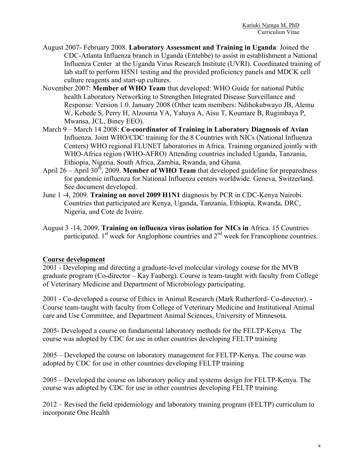- August 2007- February 2008. **Laboratory Assessment and Training in Uganda**: Joined the CDC-Atlanta Influenza branch in Uganda (Entebbe) to assist in establishment a National Influenza Center at the Uganda Virus Research Institute (UVRI). Coordinated training of lab staff to perform H5N1 testing and the provided proficiency panels and MDCK cell culture reagents and start-up cultures.
- November 2007: **Member of WHO Team** that developed: WHO Guide for national Public health Laboratory Networking to Strengthen Integrated Disease Surveillance and Response: Version 1.0. January 2008 (Other team members: Ndihokubwayo JB, Alemu W, Kebede S, Perry H, Alzouma YA, Yahaya A, Aisu T, Koumare B, Rugimbaya P, Mwansa, JCL, Biney EEO).
- March 9 March 14 2008: **Co-coordinator of Training in Laboratory Diagnosis of Avian** Influenza. Joint WHO/CDC training for the 8 Countries with NICs (National Influenza Centers) WHO regional FLUNET laboratories in Africa. Training organized jointly with WHO-Africa region (WHO-AFRO) Attending countries included Uganda, Tanzania, Ethiopia, Nigeria, South Africa, Zambia, Rwanda, and Ghana.
- April 26 April 30<sup>th</sup>, 2009. **Member of WHO Team** that developed guideline for preparedness for pandemic influenza for National Influenza centers worldwide. Geneva, Switzerland. See document developed.
- June 1 -4, 2009. **Training on novel 2009 H1N1** diagnosis by PCR in CDC-Kenya Nairobi. Countries that participated are Kenya, Uganda, Tanzania, Ethiopia, Rwanda, DRC, Nigeria, and Cote de Ivoire.
- August 3 -14, 2009. **Training on influenza virus isolation for NICs in** Africa. 15 Countries participated.  $1<sup>st</sup>$  week for Anglophone countries and  $2<sup>nd</sup>$  week for Francophone countries.

#### **Course development**

2001 - Developing and directing a graduate-level molecular virology course for the MVB graduate program (Co-director – Kay Faaberg). Course is team-taught with faculty from College of Veterinary Medicine and Department of Microbiology participating.

2001 - Co-developed a course of Ethics in Animal Research (Mark Rutherford- Co-director). **-** Course team-taught with faculty from College of Veterinary Medicine and Institutional Animal care and Use Committee, and Department Animal Sciences, University of Minnesota.

2005- Developed a course on fundamental laboratory methods for the FELTP-Kenya. The course was adopted by CDC for use in other countries developing FELTP training

2005 – Developed the course on laboratory management for FELTP-Kenya. The course was adopted by CDC for use in other countries developing FELTP training

2005 – Developed the course on laboratory policy and systems design for FELTP-Kenya. The course was adopted by CDC for use in other countries developing FELTP training.

2012 – Revised the field epidemiology and laboratory training program (FELTP) curriculum to incorporate One Health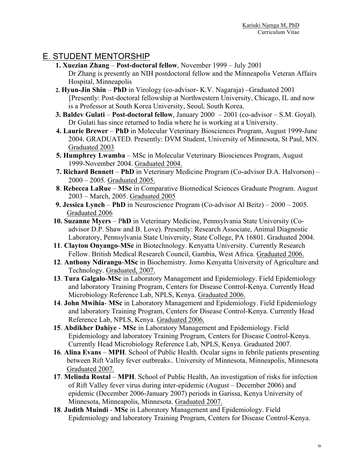### E. STUDENT MENTORSHIP

- **1. Xuezian Zhang Post-doctoral fellow**, November 1999 July 2001 Dr Zhang is presently an NIH postdoctoral fellow and the Minneapolis Veteran Affairs Hospital, Minneapolis
- **2. Hyun-Jin Shin PhD** in Virology (co-advisor- K.V. Nagaraja) –Graduated 2001 [Presently: Post-doctoral fellowship at Northwestern University, Chicago, IL and now is a Professor at South Korea University, Seoul, South Korea.
- **3. Baldev Gulati Post-doctoral fellow**, January 2000 2001 (co-advisor S.M. Goyal). Dr Gulati has since returned to India where he is working at a University.
- **4. Laurie Brewer PhD** in Molecular Veterinary Biosciences Program, August 1999-June 2004. GRADUATED. Presently: DVM Student, University of Minnesota, St Paul, MN. Graduated 2003
- **5. Humphrey Lwamba** MSc in Molecular Veterinary Biosciences Program, August 1999-November 2004. Graduated 2004.
- **7. Richard Bennett PhD** in Veterinary Medicine Program (Co-advisor D.A. Halvorson) 2000 – 2005. Graduated 2005.
- **8**. **Rebecca LaRue MSc** in Comparative Biomedical Sciences Graduate Program. August 2003 – March, 2005. Graduated 2005
- **9. Jessica Lynch PhD** in Neuroscience Program (Co-advisor Al Beitz) 2000 2005. Graduated 2006
- **10. Suzanne Myers** P**hD** in Veterinary Medicine, Pennsylvania State University (Coadvisor D.P. Shaw and B. Love). Presently: Research Associate, Animal Diagnostic Laboratory, Pennsylvania State University, State College, PA 16801. Graduated 2004.
- **11**. **Clayton Onyango**-**MSc** in Biotechnology. Kenyatta University. Currently Research Fellow. British Medical Research Council, Gambia, West Africa. Graduated 2006.
- **12**. **Anthony Ndirangu**-**MSc** in Biochemistry. Jomo Kenyatta University of Agriculture and Technology. Graduated, 2007.
- **13**. **Tura Galgalo**-**MSc** in Laboratory Management and Epidemiology. Field Epidemiology and laboratory Training Program, Centers for Disease Control-Kenya. Currently Head Microbiology Reference Lab, NPLS, Kenya. Graduated 2006.
- **14**. **John Mwihia MSc** in Laboratory Management and Epidemiology. Field Epidemiology and laboratory Training Program, Centers for Disease Control-Kenya. Currently Head Reference Lab, NPLS, Kenya. Graduated 2006.
- **15**. **Abdikher Dahiye MSc** in Laboratory Management and Epidemiology. Field Epidemiology and laboratory Training Program, Centers for Disease Control-Kenya. Currently Head Microbiology Reference Lab, NPLS, Kenya. Graduated 2007.
- **16**. **Alina Evans MPH**. School of Public Health. Ocular signs in febrile patients presenting between Rift Valley fever outbreaks.. University of Minnesota, Minneapolis, Minnesota Graduated 2007.
- **17**. **Melinda Rostal MPH**. School of Public Health, An investigation of risks for infection of Rift Valley fever virus during inter-epidemic (August – December 2006) and epidemic (December 2006-January 2007) periods in Garissa, Kenya University of Minnesota, Minneapolis, Minnesota. Graduated 2007.
- **18**. **Judith Muindi MSc** in Laboratory Management and Epidemiology. Field Epidemiology and laboratory Training Program, Centers for Disease Control-Kenya.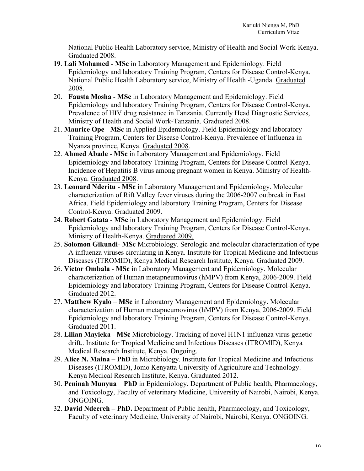National Public Health Laboratory service, Ministry of Health and Social Work-Kenya. Graduated 2008.

- **19**. **Lali Mohamed MSc** in Laboratory Management and Epidemiology. Field Epidemiology and laboratory Training Program, Centers for Disease Control-Kenya. National Public Health Laboratory service, Ministry of Health -Uganda. Graduated 2008.
- 20. **Fausta Mosha MSc** in Laboratory Management and Epidemiology. Field Epidemiology and laboratory Training Program, Centers for Disease Control-Kenya. Prevalence of HIV drug resistance in Tanzania. Currently Head Diagnostic Services, Ministry of Health and Social Work-Tanzania. Graduated 2008.
- 21. **Maurice Ope MSc** in Applied Epidemiology. Field Epidemiology and laboratory Training Program, Centers for Disease Control-Kenya. Prevalence of Influenza in Nyanza province, Kenya. Graduated 2008.
- 22. **Ahmed Abade MSc** in Laboratory Management and Epidemiology. Field Epidemiology and laboratory Training Program, Centers for Disease Control-Kenya. Incidence of Hepatitis B virus among pregnant women in Kenya. Ministry of Health-Kenya. Graduated 2008.
- 23. **Leonard Nderitu MSc** in Laboratory Management and Epidemiology. Molecular characterization of Rift Valley fever viruses during the 2006-2007 outbreak in East Africa. Field Epidemiology and laboratory Training Program, Centers for Disease Control-Kenya. Graduated 2009.
- 24. **Robert Gatata MSc** in Laboratory Management and Epidemiology. Field Epidemiology and laboratory Training Program, Centers for Disease Control-Kenya. Ministry of Health-Kenya. Graduated 2009.
- 25. **Solomon Gikundi MSc** Microbiology. Serologic and molecular characterization of type A influenza viruses circulating in Kenya. Institute for Tropical Medicine and Infectious Diseases (ITROMID), Kenya Medical Research Institute, Kenya. Graduated 2009.
- 26. **Victor Ombala MSc** in Laboratory Management and Epidemiology. Molecular characterization of Human metapneumovirus (hMPV) from Kenya, 2006-2009. Field Epidemiology and laboratory Training Program, Centers for Disease Control-Kenya. Graduated 2012.
- 27. **Matthew Kyalo MSc** in Laboratory Management and Epidemiology. Molecular characterization of Human metapneumovirus (hMPV) from Kenya, 2006-2009. Field Epidemiology and laboratory Training Program, Centers for Disease Control-Kenya. Graduated 2011.
- 28. **Lilian Mayieka MSc** Microbiology. Tracking of novel H1N1 influenza virus genetic drift.. Institute for Tropical Medicine and Infectious Diseases (ITROMID), Kenya Medical Research Institute, Kenya. Ongoing.
- 29. **Alice N. Maina PhD** in Microbiology. Institute for Tropical Medicine and Infectious Diseases (ITROMID), Jomo Kenyatta University of Agriculture and Technology. Kenya Medical Research Institute, Kenya. Graduated 2012.
- 30. **Peninah Munyua PhD** in Epidemiology. Department of Public health, Pharmacology, and Toxicology, Faculty of veterinary Medicine, University of Nairobi, Nairobi, Kenya. ONGOING.
- 32. **David Ndeereh – PhD.** Department of Public health, Pharmacology, and Toxicology, Faculty of veterinary Medicine, University of Nairobi, Nairobi, Kenya. ONGOING.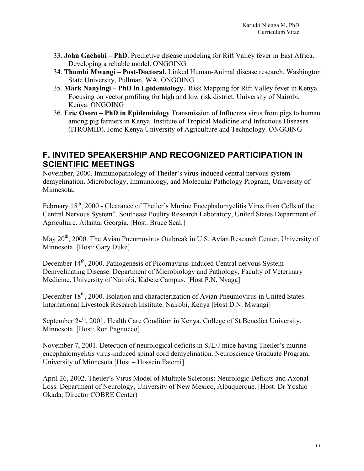- 33. **John Gachohi – PhD**. Predictive disease modeling for Rift Valley fever in East Africa. Developing a reliable model. ONGOING
- 34. **Thumbi Mwangi – Post-Doctoral.** Linked Human-Animal disease research, Washington State University, Pullman, WA. ONGOING
- 35. **Mark Nanyingi – PhD in Epidemiology.** Risk Mapping for Rift Valley fever in Kenya. Focusing on vector profiling for high and low risk district. University of Nairobi, Kenya. ONGOING
- 36. **Eric Osoro – PhD in Epidemiology** Transmission of Influenza virus from pigs to human among pig farmers in Kenya. Institute of Tropical Medicine and Infectious Diseases (ITROMID). Jomo Kenya University of Agriculture and Technology. ONGOING

### **F. INVITED SPEAKERSHIP AND RECOGNIZED PARTICIPATION IN SCIENTIFIC MEETINGS**

November, 2000. Immunopathology of Theiler's virus-induced central nervous system demyelination. Microbiology, Immunology, and Molecular Pathology Program, University of Minnesota.

February 15<sup>th</sup>, 2000 - Clearance of Theiler's Murine Encephalomyelitis Virus from Cells of the Central Nervous System". Southeast Poultry Research Laboratory, United States Department of Agriculture. Atlanta, Georgia. [Host: Bruce Seal.]

May 20<sup>th</sup>, 2000. The Avian Pneumovirus Outbreak in U.S. Avian Research Center, University of Minnesota. [Host: Gary Duke]

December 14<sup>th</sup>, 2000. Pathogenesis of Picornavirus-induced Central nervous System Demyelinating Disease. Department of Microbiology and Pathology, Faculty of Veterinary Medicine, University of Nairobi, Kabete Campus. [Host P.N. Nyaga]

December 18<sup>th</sup>, 2000. Isolation and characterization of Avian Pneumovirus in United States. International Livestock Research Institute. Nairobi, Kenya [Host D.N. Mwangi]

September  $24<sup>th</sup>$ , 2001. Health Care Condition in Kenya. College of St Benedict University, Minnesota. [Host: Ron Pagnucco]

November 7, 2001. Detection of neurological deficits in SJL/J mice having Theiler's murine encephalomyelitis virus-induced spinal cord demyelination. Neuroscience Graduate Program, University of Minnesota [Host – Hossein Fatemi]

April 26, 2002. Theiler's Virus Model of Multiple Sclerosis: Neurologic Deficits and Axonal Loss. Department of Neurology, University of New Mexico, Albuquerque. [Host: Dr Yoshio Okada, Director COBRE Center)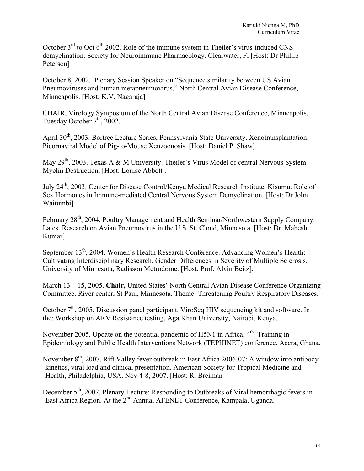October  $3<sup>rd</sup>$  to Oct  $6<sup>th</sup>$  2002. Role of the immune system in Theiler's virus-induced CNS demyelination. Society for Neuroimmune Pharmacology. Clearwater, Fl [Host: Dr Phillip Peterson]

October 8, 2002. Plenary Session Speaker on "Sequence similarity between US Avian Pneumoviruses and human metapneumovirus." North Central Avian Disease Conference, Minneapolis. [Host; K.V. Nagaraja]

CHAIR, Virology Symposium of the North Central Avian Disease Conference, Minneapolis. Tuesday October  $7<sup>th</sup>$ , 2002.

April 30<sup>th</sup>, 2003. Bortree Lecture Series, Pennsylvania State University. Xenotransplantation: Picornaviral Model of Pig-to-Mouse Xenzoonosis. [Host: Daniel P. Shaw].

May  $29<sup>th</sup>$ , 2003. Texas A & M University. Theiler's Virus Model of central Nervous System Myelin Destruction. [Host: Louise Abbott].

July 24th, 2003. Center for Disease Control/Kenya Medical Research Institute, Kisumu. Role of Sex Hormones in Immune-mediated Central Nervous System Demyelination. [Host: Dr John Waitumbi]

February 28<sup>th</sup>, 2004. Poultry Management and Health Seminar/Northwestern Supply Company. Latest Research on Avian Pneumovirus in the U.S. St. Cloud, Minnesota. [Host: Dr. Mahesh Kumar].

September 13<sup>th</sup>, 2004. Women's Health Research Conference. Advancing Women's Health: Cultivating Interdisciplinary Research. Gender Differences in Severity of Multiple Sclerosis. University of Minnesota, Radisson Metrodome. [Host: Prof. Alvin Beitz].

March 13 – 15, 2005. **Chair,** United States' North Central Avian Disease Conference Organizing Committee. River center, St Paul, Minnesota. Theme: Threatening Poultry Respiratory Diseases.

October 7<sup>th</sup>, 2005. Discussion panel participant. ViroSeq HIV sequencing kit and software. In the: Workshop on ARV Resistance testing, Aga Khan University, Nairobi, Kenya.

November 2005. Update on the potential pandemic of H5N1 in Africa.  $4<sup>th</sup>$  Training in Epidemiology and Public Health Interventions Network (TEPHINET) conference. Accra, Ghana.

November  $8<sup>th</sup>$ , 2007. Rift Valley fever outbreak in East Africa 2006-07: A window into antibody kinetics, viral load and clinical presentation. American Society for Tropical Medicine and Health, Philadelphia, USA. Nov 4-8, 2007. [Host: R. Breiman]

December 5<sup>th</sup>, 2007. Plenary Lecture: Responding to Outbreaks of Viral hemorrhagic fevers in East Africa Region. At the 2<sup>nd</sup> Annual AFENET Conference, Kampala, Uganda.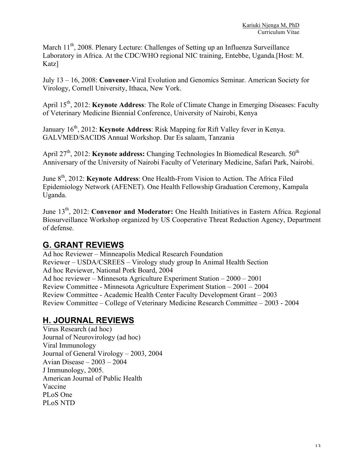March 11<sup>th</sup>, 2008. Plenary Lecture: Challenges of Setting up an Influenza Surveillance Laboratory in Africa. At the CDC/WHO regional NIC training, Entebbe, Uganda.[Host: M. Katz]

July 13 – 16, 2008: **Convener**-Viral Evolution and Genomics Seminar. American Society for Virology, Cornell University, Ithaca, New York.

April 15<sup>th</sup>, 2012: **Keynote Address**: The Role of Climate Change in Emerging Diseases: Faculty of Veterinary Medicine Biennial Conference, University of Nairobi, Kenya

January 16<sup>th</sup>, 2012: **Keynote Address**: Risk Mapping for Rift Valley fever in Kenya. GALVMED/SACIDS Annual Workshop. Dar Es salaam, Tanzania

April 27<sup>th</sup>, 2012: **Keynote address:** Changing Technologies In Biomedical Research. 50<sup>th</sup> Anniversary of the University of Nairobi Faculty of Veterinary Medicine, Safari Park, Nairobi.

June 8<sup>th</sup>, 2012: **Keynote Address**: One Health-From Vision to Action. The Africa Filed Epidemiology Network (AFENET). One Health Fellowship Graduation Ceremony, Kampala Uganda.

June 13<sup>th</sup>, 2012: **Convenor and Moderator:** One Health Initiatives in Eastern Africa. Regional Biosurveillance Workshop organized by US Cooperative Threat Reduction Agency, Department of defense.

### **G. GRANT REVIEWS**

Ad hoc Reviewer – Minneapolis Medical Research Foundation Reviewer – USDA/CSREES – Virology study group In Animal Health Section Ad hoc Reviewer, National Pork Board, 2004 Ad hoc reviewer – Minnesota Agriculture Experiment Station – 2000 – 2001 Review Committee - Minnesota Agriculture Experiment Station – 2001 – 2004 Review Committee - Academic Health Center Faculty Development Grant – 2003 Review Committee – College of Veterinary Medicine Research Committee – 2003 - 2004

# **H. JOURNAL REVIEWS**

Virus Research (ad hoc) Journal of Neurovirology (ad hoc) Viral Immunology Journal of General Virology – 2003, 2004 Avian Disease – 2003 – 2004 J Immunology, 2005. American Journal of Public Health Vaccine PLoS One PLoS NTD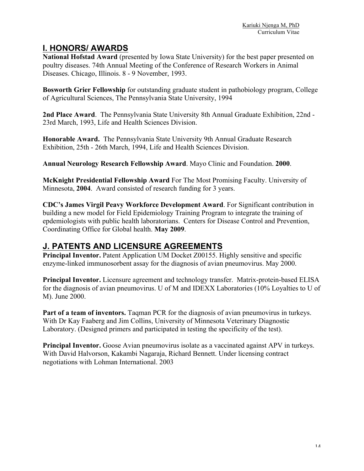## **I. HONORS/ AWARDS**

**National Hofstad Award** (presented by Iowa State University) for the best paper presented on poultry diseases. 74th Annual Meeting of the Conference of Research Workers in Animal Diseases. Chicago, Illinois. 8 - 9 November, 1993.

**Bosworth Grier Fellowship** for outstanding graduate student in pathobiology program, College of Agricultural Sciences, The Pennsylvania State University, 1994

**2nd Place Award**. The Pennsylvania State University 8th Annual Graduate Exhibition, 22nd - 23rd March, 1993, Life and Health Sciences Division.

**Honorable Award.** The Pennsylvania State University 9th Annual Graduate Research Exhibition, 25th - 26th March, 1994, Life and Health Sciences Division.

**Annual Neurology Research Fellowship Award**. Mayo Clinic and Foundation. **2000**.

**McKnight Presidential Fellowship Award** For The Most Promising Faculty. University of Minnesota, **2004**. Award consisted of research funding for 3 years.

**CDC's James Virgil Peavy Workforce Development Award**. For Significant contribution in building a new model for Field Epidemiology Training Program to integrate the training of epdemiologists with public health laboratorians. Centers for Disease Control and Prevention, Coordinating Office for Global health. **May 2009**.

### **J. PATENTS AND LICENSURE AGREEMENTS**

**Principal Inventor.** Patent Application UM Docket Z00155. Highly sensitive and specific enzyme-linked immunosorbent assay for the diagnosis of avian pneumovirus. May 2000.

**Principal Inventor.** Licensure agreement and technology transfer. Matrix-protein-based ELISA for the diagnosis of avian pneumovirus. U of M and IDEXX Laboratories (10% Loyalties to U of M). June 2000.

**Part of a team of inventors.** Tagman PCR for the diagnosis of avian pneumovirus in turkeys. With Dr Kay Faaberg and Jim Collins, University of Minnesota Veterinary Diagnostic Laboratory. (Designed primers and participated in testing the specificity of the test).

**Principal Inventor.** Goose Avian pneumovirus isolate as a vaccinated against APV in turkeys. With David Halvorson, Kakambi Nagaraja, Richard Bennett. Under licensing contract negotiations with Lohman International. 2003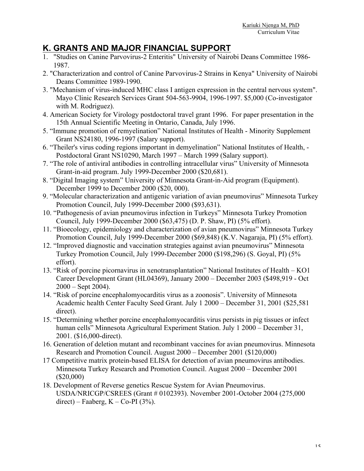## **K. GRANTS AND MAJOR FINANCIAL SUPPORT**

- 1. "Studies on Canine Parvovirus-2 Enteritis" University of Nairobi Deans Committee 1986- 1987.
- 2. "Characterization and control of Canine Parvovirus-2 Strains in Kenya" University of Nairobi Deans Committee 1989-1990.
- 3. "Mechanism of virus-induced MHC class I antigen expression in the central nervous system". Mayo Clinic Research Services Grant 504-563-9904, 1996-1997. \$5,000 (Co-investigator with M. Rodriguez).
- 4. American Society for Virology postdoctoral travel grant 1996. For paper presentation in the 15th Annual Scientific Meeting in Ontario, Canada, July 1996.
- 5. "Immune promotion of remyelination" National Institutes of Health Minority Supplement Grant NS24180, 1996-1997 (Salary support).
- 6. "Theiler's virus coding regions important in demyelination" National Institutes of Health, Postdoctoral Grant NS10290, March 1997 – March 1999 (Salary support).
- 7. "The role of antiviral antibodies in controlling intracellular virus" University of Minnesota Grant-in-aid program. July 1999-December 2000 (\$20,681).
- 8. "Digital Imaging system" University of Minnesota Grant-in-Aid program (Equipment). December 1999 to December 2000 (\$20, 000).
- 9. "Molecular characterization and antigenic variation of avian pneumovirus" Minnesota Turkey Promotion Council, July 1999-December 2000 (\$93,631).
- 10. "Pathogenesis of avian pneumovirus infection in Turkeys" Minnesota Turkey Promotion Council, July 1999-December 2000 (\$63,475) (D. P. Shaw, PI) (5% effort).
- 11. "Bioecology, epidemiology and characterization of avian pneumovirus" Minnesota Turkey Promotion Council, July 1999-December 2000 (\$69,848) (K.V. Nagaraja, PI) (5% effort).
- 12. "Improved diagnostic and vaccination strategies against avian pneumovirus" Minnesota Turkey Promotion Council, July 1999-December 2000 (\$198,296) (S. Goyal, PI) (5% effort).
- 13. "Risk of porcine picornavirus in xenotransplantation" National Institutes of Health KO1 Career Development Grant (HL04369), January 2000 – December 2003 (\$498,919 - Oct  $2000 -$ Sept 2004).
- 14. "Risk of porcine encephalomyocarditis virus as a zoonosis". University of Minnesota Academic health Center Faculty Seed Grant. July 1 2000 – December 31, 2001 (\$25,581 direct).
- 15. "Determining whether porcine encephalomyocarditis virus persists in pig tissues or infect human cells" Minnesota Agricultural Experiment Station. July 1 2000 – December 31, 2001. (\$16,000-direct).
- 16. Generation of deletion mutant and recombinant vaccines for avian pneumovirus. Minnesota Research and Promotion Council. August 2000 – December 2001 (\$120,000)
- 17 Competitive matrix protein-based ELISA for detection of avian pneumovirus antibodies. Minnesota Turkey Research and Promotion Council. August 2000 – December 2001 (\$20,000)
- 18. Development of Reverse genetics Rescue System for Avian Pneumovirus. USDA/NRICGP/CSREES (Grant # 0102393). November 2001-October 2004 (275,000 direct) – Faaberg,  $K - Co-PI(3%)$ .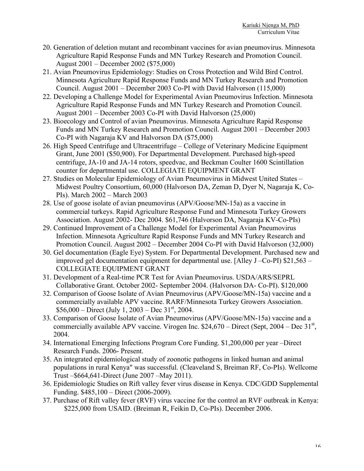- 20. Generation of deletion mutant and recombinant vaccines for avian pneumovirus. Minnesota Agriculture Rapid Response Funds and MN Turkey Research and Promotion Council. August 2001 – December 2002 (\$75,000)
- 21. Avian Pneumovirus Epidemiology: Studies on Cross Protection and Wild Bird Control. Minnesota Agriculture Rapid Response Funds and MN Turkey Research and Promotion Council. August 2001 – December 2003 Co-PI with David Halvorson (115,000)
- 22. Developing a Challenge Model for Experimental Avian Pneumovirus Infection. Minnesota Agriculture Rapid Response Funds and MN Turkey Research and Promotion Council. August 2001 – December 2003 Co-PI with David Halvorson (25,000)
- 23. Bioecology and Control of avian Pneumovirus. Minnesota Agriculture Rapid Response Funds and MN Turkey Research and Promotion Council. August 2001 – December 2003 Co-PI with Nagaraja KV and Halvorson DA (\$75,000)
- 26. High Speed Centrifuge and Ultracentrifuge College of Veterinary Medicine Equipment Grant, June 2001 (\$50,900). For Departmental Development. Purchased high-speed centrifuge, JA-10 and JA-14 rotors, speedvac, and Beckman Coulter 1600 Scintillation counter for departmental use. COLLEGIATE EQUIPMENT GRANT
- 27. Studies on Molecular Epidemiology of Avian Pneumovirus in Midwest United States Midwest Poultry Consortium, 60,000 (Halvorson DA, Zeman D, Dyer N, Nagaraja K, Co-PIs). March 2002 – March 2003
- 28. Use of goose isolate of avian pneumovirus (APV/Goose/MN-15a) as a vaccine in commercial turkeys. Rapid Agriculture Response Fund and Minnesota Turkey Growers Association. August 2002- Dec 2004. \$61,746 (Halvorson DA, Nagaraja KV-Co-PIs)
- 29. Continued Improvement of a Challenge Model for Experimental Avian Pneumovirus Infection. Minnesota Agriculture Rapid Response Funds and MN Turkey Research and Promotion Council. August 2002 – December 2004 Co-PI with David Halvorson (32,000)
- 30. Gel documentation (Eagle Eye) System. For Departmental Development. Purchased new and improved gel documentation equipment for departmental use. [Alley J –Co-PI) \$21,563 – COLLEGIATE EQUIPMENT GRANT
- 31. Development of a Real-time PCR Test for Avian Pneumovirus. USDA/ARS/SEPRL Collaborative Grant. October 2002- September 2004. (Halvorson DA- Co-PI). \$120,000
- 32. Comparison of Goose Isolate of Avian Pneumovirus (APV/Goose/MN-15a) vaccine and a commercially available APV vaccine. RARF/Minnesota Turkey Growers Association.  $$56,000 - Direct$  (July 1, 2003 – Dec 31<sup>st</sup>, 2004.)
- 33. Comparison of Goose Isolate of Avian Pneumovirus (APV/Goose/MN-15a) vaccine and a commercially available APV vaccine. Virogen Inc.  $$24,670 - Direct$  (Sept, 2004 – Dec 31<sup>st</sup>, 2004.
- 34. International Emerging Infections Program Core Funding. \$1,200,000 per year –Direct Research Funds. 2006- Present.
- 35. An integrated epidemiological study of zoonotic pathogens in linked human and animal populations in rural Kenya" was successful. (Cleaveland S, Breiman RF, Co-PIs). Wellcome Trust –\$664,641-Direct (June 2007 –May 2011).
- 36. Epidemiologic Studies on Rift valley fever virus disease in Kenya. CDC/GDD Supplemental Funding. \$485,100 – Direct (2006-2009).
- 37. Purchase of Rift valley fever (RVF) virus vaccine for the control an RVF outbreak in Kenya: \$225,000 from USAID. (Breiman R, Feikin D, Co-PIs). December 2006.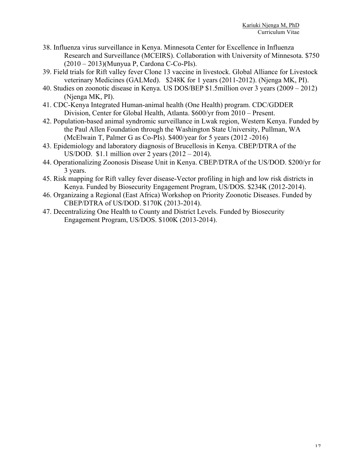- 38. Influenza virus surveillance in Kenya. Minnesota Center for Excellence in Influenza Research and Surveillance (MCEIRS). Collaboration with University of Minnesota. \$750 (2010 – 2013)(Munyua P, Cardona C-Co-PIs).
- 39. Field trials for Rift valley fever Clone 13 vaccine in livestock. Global Alliance for Livestock veterinary Medicines (GALMed). \$248K for 1 years (2011-2012). (Njenga MK, PI).
- 40. Studies on zoonotic disease in Kenya. US DOS/BEP \$1.5million over 3 years (2009 2012) (Njenga MK, PI).
- 41. CDC-Kenya Integrated Human-animal health (One Health) program. CDC/GDDER Division, Center for Global Health, Atlanta. \$600/yr from 2010 – Present.
- 42. Population-based animal syndromic surveillance in Lwak region, Western Kenya. Funded by the Paul Allen Foundation through the Washington State University, Pullman, WA (McElwain T, Palmer G as Co-PIs). \$400/year for 5 years (2012 -2016)
- 43. Epidemiology and laboratory diagnosis of Brucellosis in Kenya. CBEP/DTRA of the US/DOD. \$1.1 million over 2 years (2012 – 2014).
- 44. Operationalizing Zoonosis Disease Unit in Kenya. CBEP/DTRA of the US/DOD. \$200/yr for 3 years.
- 45. Risk mapping for Rift valley fever disease-Vector profiling in high and low risk districts in Kenya. Funded by Biosecurity Engagement Program, US/DOS. \$234K (2012-2014).
- 46. Organizaing a Regional (East Africa) Workshop on Priority Zoonotic Diseases. Funded by CBEP/DTRA of US/DOD. \$170K (2013-2014).
- 47. Decentralizing One Health to County and District Levels. Funded by Biosecurity Engagement Program, US/DOS. \$100K (2013-2014).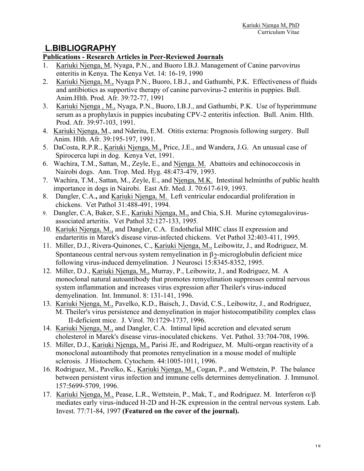### **L.BIBLIOGRAPHY**

#### **Publications - Research Articles in Peer-Reviewed Journals**

- 1. Kariuki Njenga, M, Nyaga, P.N., and Buoro I.B.J. Management of Canine parvovirus enteritis in Kenya. The Kenya Vet. 14: 16-19, 1990
- 2. Kariuki Njenga, M., Nyaga P.N., Buoro, I.B.J., and Gathumbi, P.K. Effectiveness of fluids and antibiotics as supportive therapy of canine parvovirus-2 enteritis in puppies. Bull. Anim.Hlth. Prod. Afr. 39:72-77, 1991
- 3. Kariuki Njenga , M., Nyaga, P.N., Buoro, I.B.J., and Gathumbi, P.K. Use of hyperimmune serum as a prophylaxis in puppies incubating CPV-2 enteritis infection. Bull. Anim. Hlth. Prod. Afr. 39:97-103, 1991.
- 4. Kariuki Njenga, M., and Nderitu, E.M. Otitis externa: Prognosis following surgery. Bull Anim. Hlth. Afr. 39:195-197, 1991.
- 5. DaCosta, R.P.R., Kariuki Njenga, M., Price, J.E., and Wandera, J.G. An unusual case of Spirocerca lupi in dog. Kenya Vet, 1991.
- 6. Wachira, T.M., Sattan, M., Zeyle, E., and Njenga. M. Abattoirs and echinococcosis in Nairobi dogs. Ann. Trop. Med. Hyg. 48:473-479, 1993.
- 7. Wachira, T.M., Sattan, M., Zeyle, E., and Njenga, M.K. Intestinal helminths of public health importance in dogs in Nairobi. East Afr. Med. J. 70:617-619, 1993.
- 8. Dangler, C.A.**,** and Kariuki Njenga, M. Left ventricular endocardial proliferation in chickens. Vet Pathol 31:488-491, 1994.
- 9. Dangler, C.A, Baker, S.E., Kariuki Njenga, M., and Chia, S.H. Murine cytomegalovirusassociated arteritis. Vet Pathol 32:127-133, 1995.
- 10. Kariuki Njenga, M., and Dangler, C.A. Endothelial MHC class II expression and endarteritis in Marek's disease virus-infected chickens. Vet Pathol 32:403-411, 1995.
- 11. Miller, D.J., Rivera-Quinones, C., Kariuki Njenga, M., Leibowitz, J., and Rodriguez, M. Spontaneous central nervous system remyelination in  $\beta$ ?-microglobulin deficient mice following virus-induced demyelination. J Neurosci 15:8345-8352, 1995.
- 12. Miller, D.J., Kariuki Njenga, M., Murray, P., Leibowitz, J., and Rodriguez, M. A monoclonal natural autoantibody that promotes remyelination suppresses central nervous system inflammation and increases virus expression after Theiler's virus-induced demyelination. Int. Immunol. 8: 131-141, 1996.
- 13. Kariuki Njenga, M., Pavelko, K.D., Baisch, J., David, C.S., Leibowitz, J., and Rodriguez, M. Theiler's virus persistence and demyelination in major histocompatibility complex class II-deficient mice. J. Virol. 70:1729-1737, 1996.
- 14. Kariuki Njenga, M., and Dangler, C.A. Intimal lipid accretion and elevated serum cholesterol in Marek's disease virus-inoculated chickens. Vet. Pathol. 33:704-708, 1996.
- 15. Miller, D.J., Kariuki Njenga, M., Parisi JE, and Rodriguez, M. Multi-organ reactivity of a monoclonal autoantibody that promotes remyelination in a mouse model of multiple sclerosis. J Histochem. Cytochem. 44:1005-1011, 1996.
- 16. Rodriguez, M., Pavelko, K., Kariuki Njenga, M., Cogan, P., and Wettstein, P. The balance between persistent virus infection and immune cells determines demyelination. J. Immunol. 157:5699-5709, 1996.
- 17. Kariuki Njenga, M., Pease, L.R., Wettstein, P., Mak, T., and Rodriguez. M. Interferon α/β mediates early virus-induced H-2D and H-2K expression in the central nervous system. Lab. Invest. 77:71-84, 1997 **(Featured on the cover of the journal).**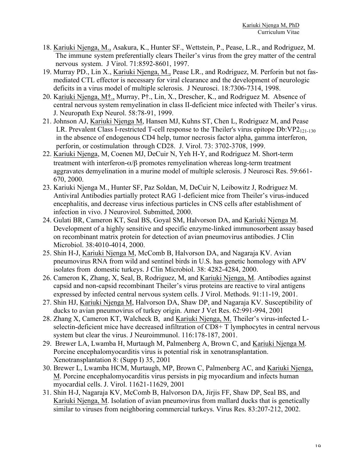- 18. Kariuki Njenga, M., Asakura, K., Hunter SF., Wettstein, P., Pease, L.R., and Rodriguez, M. The immune system preferentially clears Theiler's virus from the grey matter of the central nervous system. J Virol. 71:8592-8601, 1997.
- 19. Murray PD., Lin X., Kariuki Njenga, M., Pease LR., and Rodriguez, M. Perforin but not fasmediated CTL effector is necessary for viral clearance and the development of neurologic deficits in a virus model of multiple sclerosis. J Neurosci. 18:7306-7314, 1998.
- 20. Kariuki Njenga, M†., Murray, P†., Lin, X., Drescher, K., and Rodriguez M. Absence of central nervous system remyelination in class II-deficient mice infected with Theiler's virus. J. Neuropath Exp Neurol. 58:78-91, 1999.
- 21. Johnson AJ, Kariuki Njenga M, Hansen MJ, Kuhns ST, Chen L, Rodriguez M, and Pease LR. Prevalent Class I-restricted T-cell response to the Theiler's virus epitope  $Db:VP2_{121-130}$ in the absence of endogenous CD4 help, tumor necrosis factor alpha, gamma interferon, perforin, or costimulation through CD28. J. Virol. 73: 3702-3708, 1999.
- 22. Kariuki Njenga, M, Coenen MJ, DeCuir N, Yeh H-Y, and Rodriguez M. Short-term treatment with interferon- $\alpha/\beta$  promotes remyelination whereas long-term treatment aggravates demyelination in a murine model of multiple sclerosis. J Neurosci Res. 59:661- 670, 2000.
- 23. Kariuki Njenga M., Hunter SF, Paz Soldan, M, DeCuir N, Leibowitz J, Rodriguez M. Antiviral Antibodies partially protect RAG 1-deficient mice from Theiler's virus-induced encephalitis, and decrease virus infectious particles in CNS cells after establishment of infection in vivo. J Neurovirol. Submitted, 2000.
- 24. Gulati BR, Cameron KT, Seal BS, Goyal SM, Halvorson DA, and Kariuki Njenga M. Development of a highly sensitive and specific enzyme-linked immunosorbent assay based on recombinant matrix protein for detection of avian pneumovirus antibodies. J Clin Microbiol. 38:4010-4014, 2000.
- 25. Shin H-J, Kariuki Njenga M, McComb B, Halvorson DA, and Nagaraja KV. Avian pneumovirus RNA from wild and sentinel birds in U.S. has genetic homology with APV isolates from domestic turkeys. J Clin Microbiol. 38: 4282-4284, 2000.
- 26. Cameron K, Zhang, X, Seal, B, Rodriguez, M, and Kariuki Njenga, M. Antibodies against capsid and non-capsid recombinant Theiler's virus proteins are reactive to viral antigens expressed by infected central nervous system cells. J Virol. Methods. 91:11-19, 2001.
- 27. Shin HJ, Kariuki Njenga M, Halvorson DA, Shaw DP, and Nagaraja KV. Susceptibility of ducks to avian pneumovirus of turkey origin. Amer J Vet Res. 62:991-994, 2001
- 28. Zhang X, Cameron KT, Walcheck B, and Kariuki Njenga, M. Theiler's virus-infected Lselectin-deficient mice have decreased infiltration of CD8+ T lymphocytes in central nervous system but clear the virus. J Neuroimmunol. 116:178-187, 2001.
- 29. Brewer LA, Lwamba H, Murtaugh M, Palmenberg A, Brown C, and Kariuki Njenga M. Porcine encephalomyocarditis virus is potential risk in xenotransplantation. Xenotransplantation 8: (Supp I) 35, 2001
- 30. Brewer L, Lwamba HCM, Murtaugh, MP, Brown C, Palmenberg AC, and Kariuki Njenga, M. Porcine encephalomyocarditis virus persists in pig myocardium and infects human myocardial cells. J. Virol. 11621-11629, 2001
- 31. Shin H-J, Nagaraja KV, McComb B, Halvorson DA, Jirjis FF, Shaw DP, Seal BS, and Kariuki Njenga, M. Isolation of avian pneumovirus from mallard ducks that is genetically similar to viruses from neighboring commercial turkeys. Virus Res. 83:207-212, 2002.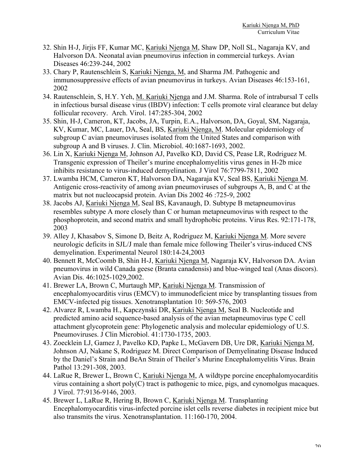- 32. Shin H-J, Jirjis FF, Kumar MC, Kariuki Njenga M, Shaw DP, Noll SL, Nagaraja KV, and Halvorson DA. Neonatal avian pneumovirus infection in commercial turkeys. Avian Diseases 46:239-244, 2002
- 33. Chary P, Rautenschlein S, Kariuki Njenga, M, and Sharma JM. Pathogenic and immunosuppressive effects of avian pneumovirus in turkeys. Avian Diseases 46:153-161, 2002
- 34. Rautenschlein, S, H.Y. Yeh, M. Kariuki Njenga and J.M. Sharma. Role of intrabursal T cells in infectious bursal disease virus (IBDV) infection: T cells promote viral clearance but delay follicular recovery. Arch. Virol. 147:285-304, 2002
- 35. Shin, H-J, Cameron, KT, Jacobs, JA, Turpin, E.A., Halvorson, DA, Goyal, SM, Nagaraja, KV, Kumar, MC, Lauer, DA, Seal, BS, Kariuki Njenga, M. Molecular epidemiology of subgroup C avian pneumoviruses isolated from the United States and comparison with subgroup A and B viruses. J. Clin. Microbiol. 40:1687-1693, 2002.
- 36. Lin X, Kariuki Njenga M, Johnson AJ, Pavelko KD, David CS, Pease LR, Rodriguez M. Transgenic expression of Theiler's murine encephalomyelitis virus genes in H-2b mice inhibits resistance to virus-induced demyelination. J Virol 76:7799-7811, 2002
- 37. Lwamba HCM, Cameron KT, Halvorson DA, Nagaraja KV, Seal BS, Kariuki Njenga M. Antigenic cross-reactivity of among avian pneumoviruses of subgroups A, B, and C at the matrix but not nucleocapsid protein. Avian Dis 2002 46 :725-9, 2002
- 38. Jacobs AJ, Kariuki Njenga M, Seal BS, Kavanaugh, D. Subtype B metapneumovirus resembles subtype A more closely than C or human metapneumovirus with respect to the phosphoprotein, and second matrix and small hydrophobic proteins. Virus Res. 92:171-178, 2003
- 39. Alley J, Khasabov S, Simone D, Beitz A, Rodriguez M, Kariuki Njenga M. More severe neurologic deficits in SJL/J male than female mice following Theiler's virus-induced CNS demyelination. Experimental Neurol 180:14-24,2003
- 40. Bennett R, McCoomb B, Shin H-J, Kariuki Njenga M, Nagaraja KV, Halvorson DA. Avian pneumovirus in wild Canada geese (Branta canadensis) and blue-winged teal (Anas discors). Avian Dis. 46:1025-1029,2002.
- 41. Brewer LA, Brown C, Murtaugh MP, Kariuki Njenga M. Transmission of encephalomyocarditis virus (EMCV) to immunodeficient mice by transplanting tissues from EMCV-infected pig tissues. Xenotransplantation 10: 569-576, 2003
- 42. Alvarez R, Lwamba H., Kapczynski DR, Kariuki Njenga M, Seal B. Nucleotide and predicted amino acid sequence-based analysis of the avian metapneumovirus type C cell attachment glycoprotein gene: Phylogenetic analysis and molecular epidemiology of U.S. Pneumoviruses. J Clin Microbiol. 41:1730-1735, 2003.
- 43. Zoecklein LJ, Gamez J, Pavelko KD, Papke L, McGavern DB, Ure DR, Kariuki Njenga M, Johnson AJ, Nakane S, Rodriguez M. Direct Comparison of Demyelinating Disease Induced by the Daniel's Strain and BeAn Strain of Theiler's Murine Encephalomyelitis Virus. Brain Pathol 13:291-308, 2003.
- 44. LaRue R, Brewer L, Brown C, Kariuki Njenga M, A wildtype porcine encephalomyocarditis virus containing a short poly(C) tract is pathogenic to mice, pigs, and cynomolgus macaques. J Virol. 77:9136-9146, 2003.
- 45. Brewer L, LaRue R, Hering B, Brown C, Kariuki Njenga M. Transplanting Encephalomyocarditis virus-infected porcine islet cells reverse diabetes in recipient mice but also transmits the virus. Xenotransplantation. 11:160-170, 2004.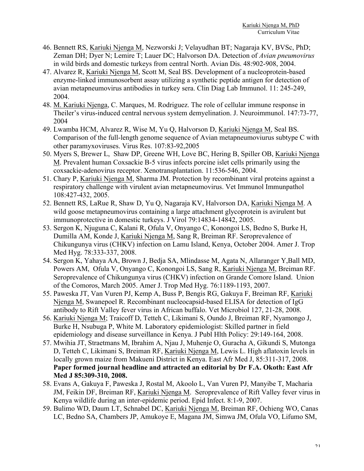- 46. Bennett RS, Kariuki Njenga M, Nezworski J; Velayudhan BT; Nagaraja KV, BVSc, PhD; Zeman DH; Dyer N; Lemire T; Lauer DC; Halvorson DA. Detection of *Avian pneumovirus* in wild birds and domestic turkeys from central North. Avian Dis. 48:902-908, 2004.
- 47. Alvarez R, Kariuki Njenga M, Scott M, Seal BS. Development of a nucleoprotein-based enzyme-linked immunosorbent assay utilizing a synthetic peptide antigen for detection of avian metapneumovirus antibodies in turkey sera. Clin Diag Lab Immunol. 11: 245-249, 2004.
- 48. M. Kariuki Njenga, C. Marques, M. Rodriguez. The role of cellular immune response in Theiler's virus-induced central nervous system demyelination. J. Neuroimmunol. 147:73-77, 2004
- 49. Lwamba HCM, Alvarez R, Wise M, Yu Q, Halvorson D, Kariuki Njenga M, Seal BS. Comparison of the full-length genome sequence of Avian metapneumoviurus subtype C with other paramyxoviruses. Virus Res. 107:83-92,2005
- 50. Myers S, Brewer L, Shaw DP, Greene WH, Love BC, Hering B, Spiller OB, Kariuki Njenga M. Prevalent human Coxsackie B-5 virus infects porcine islet cells primarily using the coxsackie-adenovirus receptor. Xenotransplantation. 11:536-546, 2004.
- 51. Chary P, Kariuki Njenga M, Sharma JM. Protection by recombinant viral proteins against a respiratory challenge with virulent avian metapneumovirus. Vet Immunol Immunpathol 108:427-432, 2005.
- 52. Bennett RS, LaRue R, Shaw D, Yu Q, Nagaraja KV, Halvorson DA, Kariuki Njenga M. A wild goose metapneumovirus containing a large attachment glycoprotein is avirulent but immunoprotective in domestic turkeys. J Virol 79:14834-14842, 2005.
- 53. Sergon K, Njuguna C, Kalani R, Ofula V, Onyango C, Konongoi LS, Bedno S, Burke H, Dumilla AM, Konde J, Kariuki Njenga M, Sang R, Breiman RF. Seroprevalence of Chikungunya virus (CHKV) infection on Lamu Island, Kenya, October 2004. Amer J. Trop Med Hyg. 78:333-337, 2008.
- 54. Sergon K, Yahaya AA, Brown J, Bedja SA, Mlindasse M, Agata N, Allaranger Y,Ball MD, Powers AM, Ofula V, Onyango C, Konongoi LS, Sang R, Kariuki Njenga M, Breiman RF. Seroprevalence of Chikungunya virus (CHKV) infection on Grande Comore Island. Union of the Comoros, March 2005. Amer J. Trop Med Hyg. 76:1189-1193, 2007.
- 55. Paweska JT, Van Vuren PJ, Kemp A, Buss P, Bengis RG, Gakuya F, Breiman RF, Kariuki Njenga M, Swanepoel R. Recombinant nucleocapsid-based ELISA for detection of IgG antibody to Rift Valley fever virus in African buffalo. Vet Microbiol 127, 21-28, 2008.
- 56. Kariuki Njenga M; Traicoff D, Tetteh C, Likimani S, Oundo J, Breiman RF, Nyamongo J, Burke H, Nsubuga P, White M. Laboratory epidemiologist: Skilled partner in field epidemiology and disease surveillance in Kenya. J Publ Hlth Policy: 29:149-164, 2008.
- 57. Mwihia JT, Straetmans M, Ibrahim A, Njau J, Muhenje O, Guracha A, Gikundi S, Mutonga D, Tetteh C, Likimani S, Breiman RF, Kariuki Njenga M, Lewis L. High aflatoxin levels in locally grown maize from Makueni District in Kenya. East Afr Med J, 85:311-317, 2008. **Paper formed journal headline and attracted an editorial by Dr F.A. Okoth: East Afr Med J 85:309-310, 2008.**
- 58. Evans A, Gakuya F, Paweska J, Rostal M, Akoolo L, Van Vuren PJ, Manyibe T, Macharia JM, Feikin DF, Breiman RF, Kariuki Njenga M. Seroprevalence of Rift Valley fever virus in Kenya wildlife during an inter-epidemic period. Epid Infect. 8:1-9, 2007.
- 59. Bulimo WD, Daum LT, Schnabel DC, Kariuki Njenga M, Breiman RF, Ochieng WO, Canas LC, Bedno SA, Chambers JP, Amukoye E, Magana JM, Simwa JM, Ofula VO, Lifumo SM,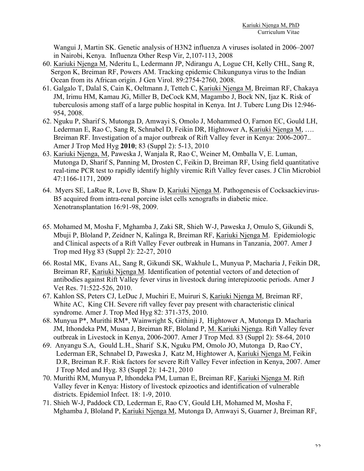Wangui J, Martin SK. Genetic analysis of H3N2 influenza A viruses isolated in 2006–2007 in Nairobi, Kenya. Influenza Other Resp Vir, 2,107-113, 2008

- 60. Kariuki Njenga M, Nderitu L, Ledermann JP, Ndirangu A, Logue CH, Kelly CHL, Sang R, Sergon K, Breiman RF, Powers AM. Tracking epidemic Chikungunya virus to the Indian Ocean from its African origin. J Gen Virol. 89:2754-2760, 2008.
- 61. Galgalo T, Dalal S, Cain K, Oeltmann J, Tetteh C, Kariuki Njenga M, Breiman RF, Chakaya JM, Irimu HM, Kamau JG, Miller B, DeCock KM, Magambo J, Bock NN, Ijaz K. Risk of tuberculosis among staff of a large public hospital in Kenya. Int J. Tuberc Lung Dis 12:946- 954, 2008.
- 62. Nguku P, Sharif S, Mutonga D, Amwayi S, Omolo J, Mohammed O, Farnon EC, Gould LH, Lederman E, Rao C, Sang R, Schnabel D, Feikin DR, Hightower A, Kariuki Njenga M, …. Breiman RF. Investigation of a major outbreak of Rift Valley fever in Kenya: 2006-2007.. Amer J Trop Med Hyg **2010**; 83 (Suppl 2): 5-13, 2010
- 63. Kariuki Njenga, M, Paweska J, Wanjala R, Rao C, Weiner M, Omballa V, E. Luman, Mutonga D, Sharif S, Panning M, Drosten C, Feikin D, Breiman RF, Using field quantitative real-time PCR test to rapidly identify highly viremic Rift Valley fever cases. J Clin Microbiol 47:1166-1171, 2009
- 64. Myers SE, LaRue R, Love B, Shaw D, Kariuki Njenga M. Pathogenesis of Cocksackievirus-B5 acquired from intra-renal porcine islet cells xenografts in diabetic mice. Xenotransplantation 16:91-98, 2009.
- 65. Mohamed M, Mosha F, Mghamba J, Zaki SR, Shieh W-J, Paweska J, Omulo S, Gikundi S, Mbuji P, Bloland P, Zeidner N, Kalinga R, Breiman RF, Kariuki Njenga M. Epidemiologic and Clinical aspects of a Rift Valley Fever outbreak in Humans in Tanzania, 2007. Amer J Trop med Hyg 83 (Suppl 2): 22-27, 2010
- 66. Rostal MK, Evans AL, Sang R, Gikundi SK, Wakhule L, Munyua P, Macharia J, Feikin DR, Breiman RF, Kariuki Njenga M. Identification of potential vectors of and detection of antibodies against Rift Valley fever virus in livestock during interepizootic periods. Amer J Vet Res. 71:522-526, 2010.
- 67. Kahlon SS, Peters CJ, LeDuc J, Muchiri E, Muiruri S, Kariuki Njenga M, Breiman RF, White AC, King CH. Severe rift valley fever pay present with characteristic clinical syndrome. Amer J. Trop Med Hyg 82: 371-375, 2010.
- 68. Munyua P\*, Murithi RM\*, Wainwright S, Githinji J, Hightower A, Mutonga D. Macharia JM, Ithondeka PM, Musaa J, Breiman RF, Bloland P, M. Kariuki Njenga. Rift Valley fever outbreak in Livestock in Kenya, 2006-2007. Amer J Trop Med. 83 (Suppl 2): 58-64, 2010
- 69. Anyangu S.A, Gould L.H., Sharif S.K, Nguku PM, Omolo JO, Mutonga D, Rao CY, Lederman ER, Schnabel D, Paweska J, Katz M, Hightower A, Kariuki Njenga M, Feikin D.R, Breiman R.F. Risk factors for severe Rift Valley Fever infection in Kenya, 2007. Amer J Trop Med and Hyg. 83 (Suppl 2): 14-21, 2010
- 70. Murithi RM, Munyua P, Ithondeka PM, Luman E, Breiman RF, Kariuki Njenga M. Rift Valley fever in Kenya: History of livestock epizootics and identification of vulnerable districts. Epidemiol Infect. 18: 1-9, 2010.
- 71. Shieh W-J, Paddock CD, Lederman E, Rao CY, Gould LH, Mohamed M, Mosha F, Mghamba J, Bloland P, Kariuki Njenga M, Mutonga D, Amwayi S, Guarner J, Breiman RF,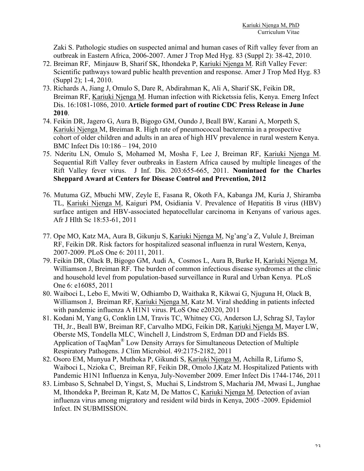Zaki S. Pathologic studies on suspected animal and human cases of Rift valley fever from an outbreak in Eastern Africa, 2006-2007. Amer J Trop Med Hyg. 83 (Suppl 2): 38-42, 2010.

- 72. Breiman RF, Minjauw B, Sharif SK, Ithondeka P, Kariuki Njenga M. Rift Valley Fever: Scientific pathways toward public health prevention and response. Amer J Trop Med Hyg. 83 (Suppl 2); 1-4, 2010.
- 73. Richards A, Jiang J, Omulo S, Dare R, Abdirahman K, Ali A, Sharif SK, Feikin DR, Breiman RF, Kariuki Njenga M. Human infection with Ricketssia felis, Kenya. Emerg Infect Dis. 16:1081-1086, 2010. **Article formed part of routine CDC Press Release in June 2010**.
- 74. Feikin DR, Jagero G, Aura B, Bigogo GM, Oundo J, Beall BW, Karani A, Morpeth S, Kariuki Njenga M, Breiman R. High rate of pneumococcal bacteremia in a prospective cohort of older children and adults in an area of high HIV prevalence in rural western Kenya. BMC Infect Dis 10:186 – 194, 2010
- 75. Nderitu LN, Omulo S, Mohamed M, Mosha F, Lee J, Breiman RF, Kariuki Njenga M. Sequential Rift Valley fever outbreaks in Eastern Africa caused by multiple lineages of the Rift Valley fever virus. J Inf. Dis. 203:655-665, 2011. **Nomintaed for the Charles Sheppard Award at Centers for Disease Control and Prevention, 2012**
- 76. Mutuma GZ, Mbuchi MW, Zeyle E, Fasana R, Okoth FA, Kabanga JM, Kuria J, Shiramba TL, Kariuki Njenga M, Kaiguri PM, Osidiania V. Prevalence of Hepatitis B virus (HBV) surface antigen and HBV-associated hepatocellular carcinoma in Kenyans of various ages. Afr J Hlth Sc 18:53-61, 2011
- 77. Ope MO, Katz MA, Aura B, Gikunju S, Kariuki Njenga M, Ng'ang'a Z, Vulule J, Breiman RF, Feikin DR. Risk factors for hospitalized seasonal influenza in rural Western, Kenya, 2007-2009. PLoS One 6: 20111, 2011.
- 79. Feikin DR, Olack B, Bigogo GM, Audi A, Cosmos L, Aura B, Burke H, Kariuki Njenga M, Williamson J, Breiman RF. The burden of common infectious disease syndromes at the clinic and household level from population-based surveillance in Rural and Urban Kenya. PLoS One 6: e16085, 2011
- 80. Waiboci L, Lebo E, Mwiti W, Odhiambo D, Waithaka R, Kikwai G, Njuguna H, Olack B, Williamson J, Breiman RF, Kariuki Njenga M, Katz M. Viral shedding in patients infected with pandemic influenza A H1N1 virus. PLoS One e20320, 2011
- 81. Kodani M, Yang G, Conklin LM, Travis TC, Whitney CG, Anderson LJ, Schrag SJ, Taylor TH, Jr., Beall BW, Breiman RF, Carvalho MDG, Feikin DR, Kariuki Njenga M, Mayer LW, Oberste MS, Tondella MLC, Winchell J, Lindstrom S, Erdman DD and Fields BS. Application of TaqMan® Low Density Arrays for Simultaneous Detection of Multiple Respiratory Pathogens. J Clim Microbiol. 49:2175-2182, 2011
- 82. Osoro EM, Munyua P, Muthoka P, Gikundi S, Kariuki Njenga M, Achilla R, Lifumo S, Waiboci L, Nzioka C, Breiman RF, Feikin DR, Omolo J,Katz M. Hospitalized Patients with Pandemic H1N1 Influenza in Kenya, July-November 2009. Emer Infect Dis 1744-1746, 2011
- 83. Limbaso S, Schnabel D, Yingst, S, Muchai S, Lindstrom S, Macharia JM, Mwasi L, Junghae M, Ithondeka P, Breiman R, Katz M, De Mattos C, Kariuki Njenga M. Detection of avian influenza virus among migratory and resident wild birds in Kenya, 2005 -2009. Epidemiol Infect. IN SUBMISSION.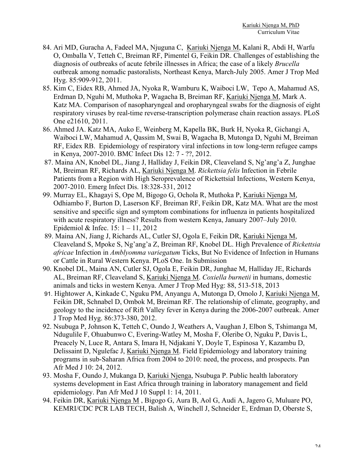- 84. Ari MD, Guracha A, Fadeel MA, Njuguna C, Kariuki Njenga M, Kalani R, Abdi H, Warfu O, Omballa V, Tetteh C, Breiman RF, Pimentel G, Feikin DR. Challenges of establishing the diagnosis of outbreaks of acute febrile illnesses in Africa; the case of a likely *Brucella* outbreak among nomadic pastoralists, Northeast Kenya, March-July 2005. Amer J Trop Med Hyg. 85:909-912, 2011.
- 85. Kim C, Eidex RB, Ahmed JA, Nyoka R, Wamburu K, Waiboci LW, Tepo A, Mahamud AS, Erdman D, Nguhi M, Muthoka P, Wagacha B, Breiman RF, Kariuki Njenga M, Mark A. Katz MA. Comparison of nasopharyngeal and oropharyngeal swabs for the diagnosis of eight respiratory viruses by real-time reverse-transcription polymerase chain reaction assays. PLoS One e21610, 2011.
- 86. Ahmed JA. Katz MA, Auko E, Weinberg M, Kapella BK, Burk H, Nyoka R, Gichangi A, Waiboci LW, Mahamud A, Qassim M, Swai B, Wagacha B, Mutonga D, Nguhi M, Breiman RF, Eidex RB. Epidemiology of respiratory viral infections in tow long-term refugee camps in Kenya, 2007-2010. BMC Infect Dis 12: 7 - ??, 2012.
- 87. Maina AN, Knobel DL, Jiang J, Halliday J, Feikin DR, Cleaveland S, Ng'ang'a Z, Junghae M, Breiman RF, Richards AL, Kariuki Njenga M. *Rickettsia felis* Infection in Febrile Patients from a Region with High Seroprevalence of Rickettsial Infections, Western Kenya, 2007-2010. Emerg Infect Dis. 18:328-331, 2012
- 99. Murray EL, Khagayi S, Ope M, Bigogo G, Ochola R, Muthoka P, Kariuki Njenga M, Odhiambo F, Burton D, Laserson KF, Breiman RF, Feikin DR, Katz MA. What are the most sensitive and specific sign and symptom combinations for influenza in patients hospitalized with acute respiratory illness? Results from western Kenya, January 2007–July 2010. Epidemiol & Infec. 15: 1 – 11, 2012
- 89. Maina AN, Jiang J, Richards AL, Cutler SJ, Ogola E, Feikin DR, Kariuki Njenga M, Cleaveland S, Mpoke S, Ng'ang'a Z, Breiman RF, Knobel DL. High Prevalence of *Rickettsia africae* Infection in *Amblyomma variegatum* Ticks, But No Evidence of Infection in Humans or Cattle in Rural Western Kenya. PLoS One. In Submission
- 90. Knobel DL, Maina AN, Cutler SJ, Ogola E, Feikin DR, Junghae M, Halliday JE, Richards AL, Breiman RF, Cleaveland S, Kariuki Njenga M. *Coxiella burnetii* in humans, domestic animals and ticks in western Kenya. Amer J Trop Med Hyg: 88, 513-518, 2013
- 91. Hightower A, Kinkade C, Nguku PM, Anyangu A, Mutonga D, Omolo J, Kariuki Njenga M, Feikin DR, Schnabel D, Ombok M, Breiman RF. The relationship of climate, geography, and geology to the incidence of Rift Valley fever in Kenya during the 2006-2007 outbreak. Amer J Trop Med Hyg. 86:373-380, 2012.
- 92. Nsubuga P, Johnson K, Tetteh C, Oundo J, Weathers A, Vaughan J, Elbon S, Tshimanga M, Ndugulile F, Ohuabunwo C, Evering-Watley M, Mosha F, Oleribe O, Nguku P, Davis L, Preacely N, Luce R, Antara S, Imara H, Ndjakani Y, Doyle T, Espinosa Y, Kazambu D, Delissaint D, Ngulefac J, Kariuki Njenga M. Field Epidemiology and laboratory training programs in sub-Saharan Africa from 2004 to 2010: need, the process, and prospects. Pan Afr Med J 10: 24, 2012.
- 93. Mosha F, Oundo J, Mukanga D, Kariuki Njenga, Nsubuga P. Public health laboratory systems development in East Africa through training in laboratory management and field epidemiology. Pan Afr Med J 10 Suppl 1: 14, 2011.
- 94. Feikin DR, Kariuki Njenga M , Bigogo G, Aura B, Aol G, Audi A, Jagero G, Muluare PO, KEMRI/CDC PCR LAB TECH, Balish A, Winchell J, Schneider E, Erdman D, Oberste S,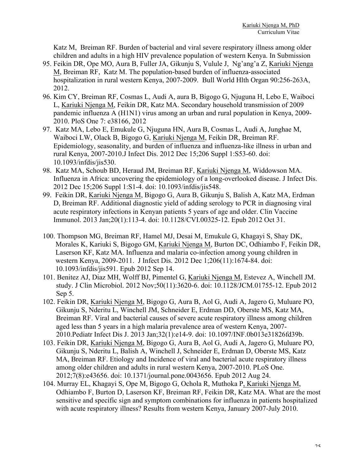Katz M, Breiman RF. Burden of bacterial and viral severe respiratory illness among older children and adults in a high HIV prevalence population of western Kenya. In Submission

- 95. Feikin DR, Ope MO, Aura B, Fuller JA, Gikunju S, Vulule J, Ng'ang'a Z, Kariuki Njenga M, Breiman RF, Katz M. The population-based burden of influenza-associated hospitalization in rural western Kenya, 2007-2009. Bull World Hlth Organ 90:256-263A, 2012.
- 96. Kim CY, Breiman RF, Cosmas L, Audi A, aura B, Bigogo G, Njuguna H, Lebo E, Waiboci L, Kariuki Njenga M, Feikin DR, Katz MA. Secondary household transmission of 2009 pandemic influenza A (H1N1) virus among an urban and rural population in Kenya, 2009- 2010. PloS One 7: e38166, 2012
- 97. Katz MA, Lebo E, Emukule G, Njuguna HN, Aura B, Cosmas L, Audi A, Junghae M, Waiboci LW, Olack B, Bigogo G, Kariuki Njenga M, Feikin DR, Breiman RF. Epidemiology, seasonality, and burden of influenza and influenza-like illness in urban and rural Kenya, 2007-2010.J Infect Dis. 2012 Dec 15;206 Suppl 1:S53-60. doi: 10.1093/infdis/jis530.
- 98. Katz MA, Schoub BD, Heraud JM, Breiman RF, Kariuki Njenga M, Widdowson MA. Influenza in Africa: uncovering the epidemiology of a long-overlooked disease. J Infect Dis. 2012 Dec 15;206 Suppl 1:S1-4. doi: 10.1093/infdis/jis548.
- 99. Feikin DR, Kariuki Njenga M, Bigogo G, Aura B, Gikunju S, Balish A, Katz MA, Erdman D, Breiman RF. Additional diagnostic yield of adding serology to PCR in diagnosing viral acute respiratory infections in Kenyan patients 5 years of age and older. Clin Vaccine Immunol. 2013 Jan;20(1):113-4. doi: 10.1128/CVI.00325-12. Epub 2012 Oct 31.
- 100. Thompson MG, Breiman RF, Hamel MJ, Desai M, Emukule G, Khagayi S, Shay DK, Morales K, Kariuki S, Bigogo GM, Kariuki Njenga M, Burton DC, Odhiambo F, Feikin DR, Laserson KF, Katz MA. Influenza and malaria co-infection among young children in western Kenya, 2009-2011. J Infect Dis. 2012 Dec 1;206(11):1674-84. doi: 10.1093/infdis/jis591. Epub 2012 Sep 14.
- 101. Benitez AJ, Diaz MH, Wolff BJ, Pimentel G, Kariuki Njenga M, Estevez A, Winchell JM. study. J Clin Microbiol. 2012 Nov;50(11):3620-6. doi: 10.1128/JCM.01755-12. Epub 2012 Sep 5.
- 102. Feikin DR, Kariuki Njenga M, Bigogo G, Aura B, Aol G, Audi A, Jagero G, Muluare PO, Gikunju S, Nderitu L, Winchell JM, Schneider E, Erdman DD, Oberste MS, Katz MA, Breiman RF. Viral and bacterial causes of severe acute respiratory illness among children aged less than 5 years in a high malaria prevalence area of western Kenya, 2007- 2010.Pediatr Infect Dis J. 2013 Jan;32(1):e14-9. doi: 10.1097/INF.0b013e31826fd39b.
- 103. Feikin DR, Kariuki Njenga M, Bigogo G, Aura B, Aol G, Audi A, Jagero G, Muluare PO, Gikunju S, Nderitu L, Balish A, Winchell J, Schneider E, Erdman D, Oberste MS, Katz MA, Breiman RF. Etiology and Incidence of viral and bacterial acute respiratory illness among older children and adults in rural western Kenya, 2007-2010. PLoS One. 2012;7(8):e43656. doi: 10.1371/journal.pone.0043656. Epub 2012 Aug 24.
- 104. Murray EL, Khagayi S, Ope M, Bigogo G, Ochola R, Muthoka P, Kariuki Njenga M, Odhiambo F, Burton D, Laserson KF, Breiman RF, Feikin DR, Katz MA. What are the most sensitive and specific sign and symptom combinations for influenza in patients hospitalized with acute respiratory illness? Results from western Kenya, January 2007-July 2010.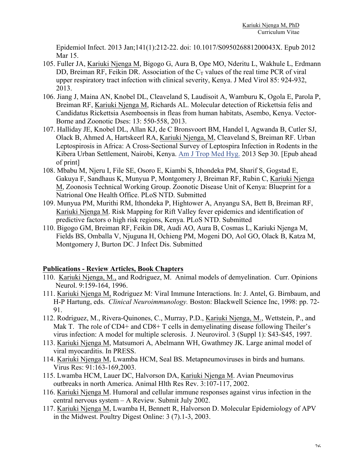Epidemiol Infect. 2013 Jan;141(1):212-22. doi: 10.1017/S095026881200043X. Epub 2012 Mar 15.

- 105. Fuller JA, Kariuki Njenga M, Bigogo G, Aura B, Ope MO, Nderitu L, Wakhule L, Erdmann DD, Breiman RF, Feikin DR. Association of the  $C_T$  values of the real time PCR of viral upper respiratory tract infection with clinical severity, Kenya. J Med Virol 85: 924-932, 2013.
- 106. Jiang J, Maina AN, Knobel DL, Cleaveland S, Laudisoit A, Wamburu K, Ogola E, Parola P, Breiman RF, Kariuki Njenga M, Richards AL. Molecular detection of Rickettsia felis and Candidatus Rickettsia Asemboensis in fleas from human habitats, Asembo, Kenya. Vector-Borne and Zoonotic Dses: 13: 550-558, 2013.
- 107. Halliday JE, Knobel DL, Allan KJ, de C Bronsvoort BM, Handel I, Agwanda B, Cutler SJ, Olack B, Ahmed A, Hartskeerl RA, Kariuki Njenga, M, Cleaveland S, Breiman RF. Urban Leptospirosis in Africa: A Cross-Sectional Survey of Leptospira Infection in Rodents in the Kibera Urban Settlement, Nairobi, Kenya. Am J Trop Med Hyg. 2013 Sep 30. [Epub ahead of print]
- 108. Mbabu M, Njeru I, File SE, Osoro E, Kiambi S, Ithondeka PM, Sharif S, Gogstad E, Gakuya F, Sandhaus K, Munyua P, Montgomery J, Breiman RF, Rubin C, Kariuki Njenga M, Zoonosis Technical Working Group. Zoonotic Disease Unit of Kenya: Blueprint for a Natrional One Health Office. PLoS NTD. Submitted
- 109. Munyua PM, Murithi RM, Ithondeka P, Hightower A, Anyangu SA, Bett B, Breiman RF, Kariuki Njenga M. Risk Mapping for Rift Valley fever epidemics and identification of predictive factors o high risk regions, Kenya. PLoS NTD. Submitted
- 110. Bigogo GM, Breiman RF, Feikin DR, Audi AO, Aura B, Cosmas L, Kariuki Njenga M, Fields BS, Omballa V, Njuguna H, Ochieng PM, Mogeni DO, Aol GO, Olack B, Katza M, Montgomery J, Burton DC. J Infect Dis. Submitted

#### **Publications - Review Articles, Book Chapters**

- 110. Kariuki Njenga, M., and Rodriguez, M. Animal models of demyelination. Curr. Opinions Neurol. 9:159-164, 1996.
- 111. Kariuki Njenga M, Rodriguez M: Viral Immune Interactions. In: J. Antel, G. Birnbaum, and H-P Hartung, eds. *Clinical Neuroimmunology.* Boston: Blackwell Science Inc, 1998: pp. 72- 91.
- 112. Rodriguez, M., Rivera-Quinones, C., Murray, P.D., Kariuki Njenga, M., Wettstein, P., and Mak T. The role of CD4+ and CD8+ T cells in demyelinating disease following Theiler's virus infection: A model for multiple sclerosis. J. Neurovirol. 3 (Suppl 1): S43-S45, 1997.
- 113. Kariuki Njenga M, Matsumori A, Abelmann WH, Gwathmey JK. Large animal model of viral myocarditis. In PRESS.
- 114. Kariuki Njenga M, Lwamba HCM, Seal BS. Metapneumoviruses in birds and humans. Virus Res: 91:163-169,2003.
- 115. Lwamba HCM, Lauer DC, Halvorson DA, Kariuki Njenga M. Avian Pneumovirus outbreaks in north America. Animal Hlth Res Rev. 3:107-117, 2002.
- 116. Kariuki Njenga M. Humoral and cellular immune responses against virus infection in the central nervous system – A Review. Submit July 2002.
- 117. Kariuki Njenga M, Lwamba H, Bennett R, Halvorson D. Molecular Epidemiology of APV in the Midwest. Poultry Digest Online: 3 (7).1-3, 2003.